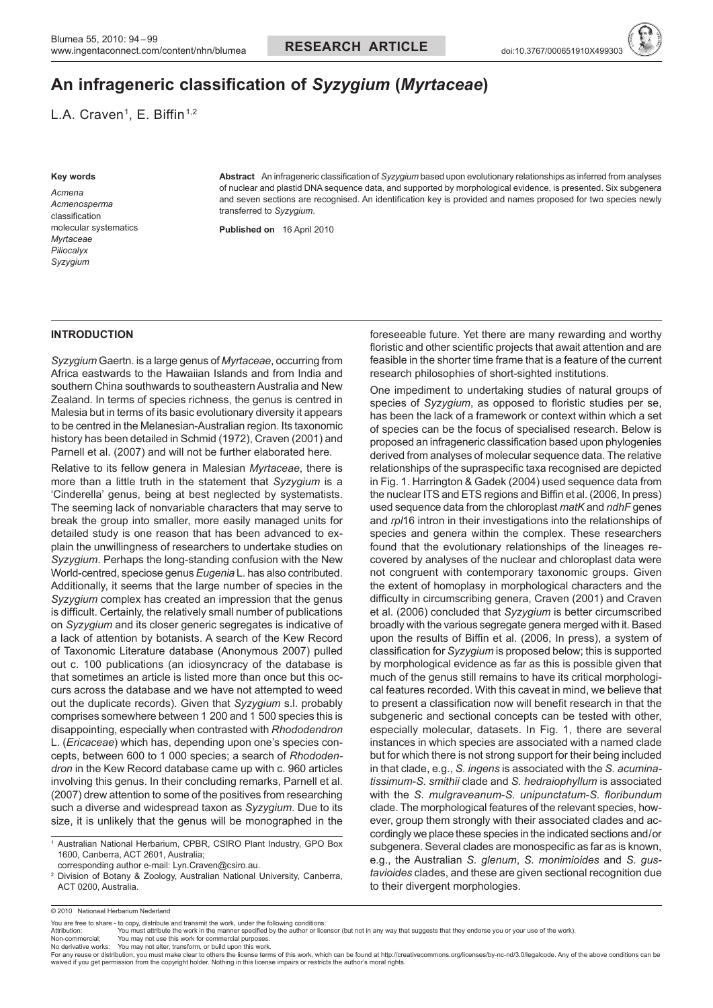# **An infrageneric classification of** *Syzygium* **(***Myrtaceae***)**

L.A. Craven<sup>1</sup>, E. Biffin<sup>1,2</sup>

#### **Key words**

*Acmena Acmenosperma* classification molecular systematics *Myrtaceae Piliocalyx Syzygium*

**Abstract** An infrageneric classification of *Syzygium* based upon evolutionary relationships as inferred from analyses of nuclear and plastid DNA sequence data, and supported by morphological evidence, is presented. Six subgenera and seven sections are recognised. An identification key is provided and names proposed for two species newly transferred to *Syzygium*.

**Published on** 16 April 2010

# **Introduction**

*Syzygium* Gaertn. is a large genus of *Myrtaceae*, occurring from Africa eastwards to the Hawaiian Islands and from India and southern China southwards to southeastern Australia and New Zealand. In terms of species richness, the genus is centred in Malesia but in terms of its basic evolutionary diversity it appears to be centred in the Melanesian-Australian region. Its taxonomic history has been detailed in Schmid (1972), Craven (2001) and Parnell et al. (2007) and will not be further elaborated here.

Relative to its fellow genera in Malesian *Myrtaceae*, there is more than a little truth in the statement that *Syzygium* is a 'Cinderella' genus, being at best neglected by systematists. The seeming lack of nonvariable characters that may serve to break the group into smaller, more easily managed units for detailed study is one reason that has been advanced to explain the unwillingness of researchers to undertake studies on *Syzygium*. Perhaps the long-standing confusion with the New World-centred, speciose genus *Eugenia* L. has also contributed. Additionally, it seems that the large number of species in the *Syzygium* complex has created an impression that the genus is difficult. Certainly, the relatively small number of publications on *Syzygium* and its closer generic segregates is indicative of a lack of attention by botanists. A search of the Kew Record of Taxonomic Literature database (Anonymous 2007) pulled out c. 100 publications (an idiosyncracy of the database is that sometimes an article is listed more than once but this occurs across the database and we have not attempted to weed out the duplicate records). Given that *Syzygium* s.l. probably comprises somewhere between 1 200 and 1 500 species this is disappointing, especially when contrasted with *Rhododendron* L. (*Ericaceae*) which has, depending upon one's species concepts, between 600 to 1 000 species; a search of *Rhododendron* in the Kew Record database came up with c. 960 articles involving this genus. In their concluding remarks, Parnell et al. (2007) drew attention to some of the positives from researching such a diverse and widespread taxon as *Syzygium*. Due to its size, it is unlikely that the genus will be monographed in the

<sup>1</sup> Australian National Herbarium, CPBR, CSIRO Plant Industry, GPO Box 1600, Canberra, ACT 2601, Australia;

corresponding author e-mail: Lyn.Craven@csiro.au.

<sup>2</sup> Division of Botany & Zoology, Australian National University, Canberra, ACT 0200, Australia.

foreseeable future. Yet there are many rewarding and worthy floristic and other scientific projects that await attention and are feasible in the shorter time frame that is a feature of the current research philosophies of short-sighted institutions.

One impediment to undertaking studies of natural groups of species of *Syzygium*, as opposed to floristic studies per se, has been the lack of a framework or context within which a set of species can be the focus of specialised research. Below is proposed an infrageneric classification based upon phylogenies derived from analyses of molecular sequence data. The relative relationships of the supraspecific taxa recognised are depicted in Fig. 1. Harrington & Gadek (2004) used sequence data from the nuclear ITS and ETS regions and Biffin et al. (2006, In press) used sequence data from the chloroplast *matK* and *ndhF* genes and *rpl*16 intron in their investigations into the relationships of species and genera within the complex. These researchers found that the evolutionary relationships of the lineages recovered by analyses of the nuclear and chloroplast data were not congruent with contemporary taxonomic groups. Given the extent of homoplasy in morphological characters and the difficulty in circumscribing genera, Craven (2001) and Craven et al. (2006) concluded that *Syzygium* is better circumscribed broadly with the various segregate genera merged with it. Based upon the results of Biffin et al. (2006, In press), a system of classification for *Syzygium* is proposed below; this is supported by morphological evidence as far as this is possible given that much of the genus still remains to have its critical morphological features recorded. With this caveat in mind, we believe that to present a classification now will benefit research in that the subgeneric and sectional concepts can be tested with other. especially molecular, datasets. In Fig. 1, there are several instances in which species are associated with a named clade but for which there is not strong support for their being included in that clade, e.g., *S. ingens* is associated with the *S. acuminatissimum*-*S. smithii* clade and *S. hedraiophyllum* is associated with the *S. mulgraveanum*-*S. unipunctatum*-*S. floribundum* clade. The morphological features of the relevant species, however, group them strongly with their associated clades and accordingly we place these species in the indicated sections and/or subgenera. Several clades are monospecific as far as is known, e.g., the Australian *S. glenum*, *S. monimioides* and *S. gustavioides* clades, and these are given sectional recognition due to their divergent morphologies.

You may not use this work for commercial purposes

<sup>© 2010</sup> Nationaal Herbarium Nederland

You are free to share - to copy, distribute and transmit the work, under the following conditions<br>Attribution: You must attribute the work in the manner specified by the author or lice

Attribution: You must attribute the work in the manner specified by the author or licensor (but not in any way that suggests that they endorse you or your use of the work).<br>Non-commercial: You may not use this work for com

No derivative works: You may not alter, transform, or build upon this work.<br>For any reuse or distribution, you must make clear to others the license terms of this work, which can be found at http://creativecommons.org/lice waived if you get permission from the copyright holder. Nothing in this license impairs or restricts the author's moral rights.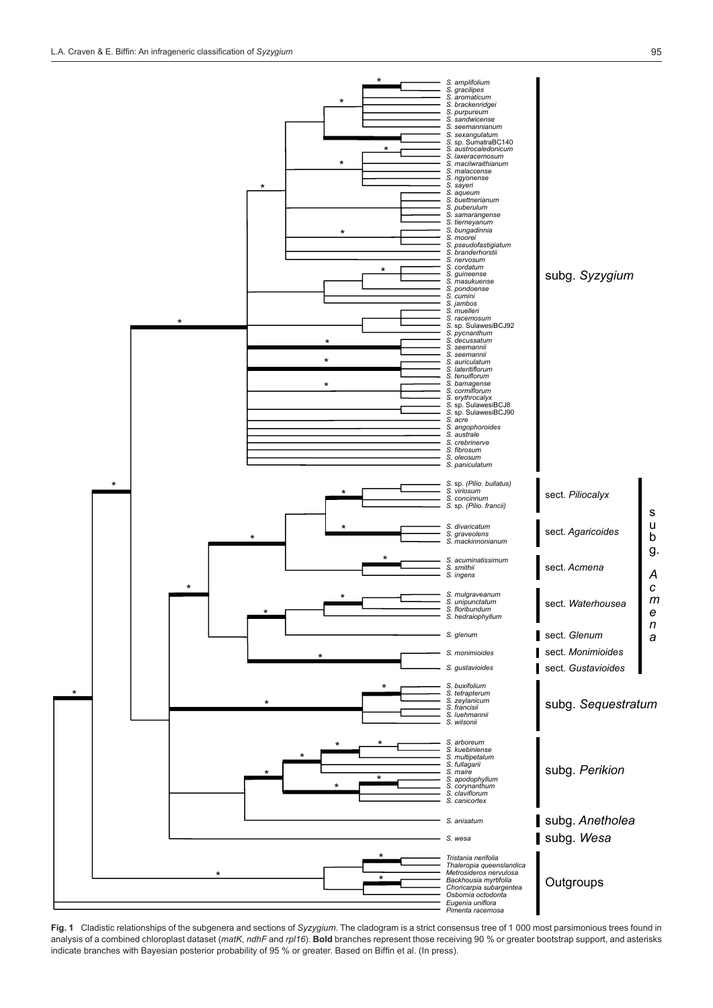

**Fig. 1** Cladistic relationships of the subgenera and sections of *Syzygium*. The cladogram is a strict consensus tree of 1 000 most parsimonious trees found in analysis of a combined chloroplast dataset (*matK*, *ndhF* and *rpl16*). **Bold** branches represent those receiving 90 % or greater bootstrap support, and asterisks indicate branches with Bayesian posterior probability of 95 % or greater. Based on Biffin et al. (In press).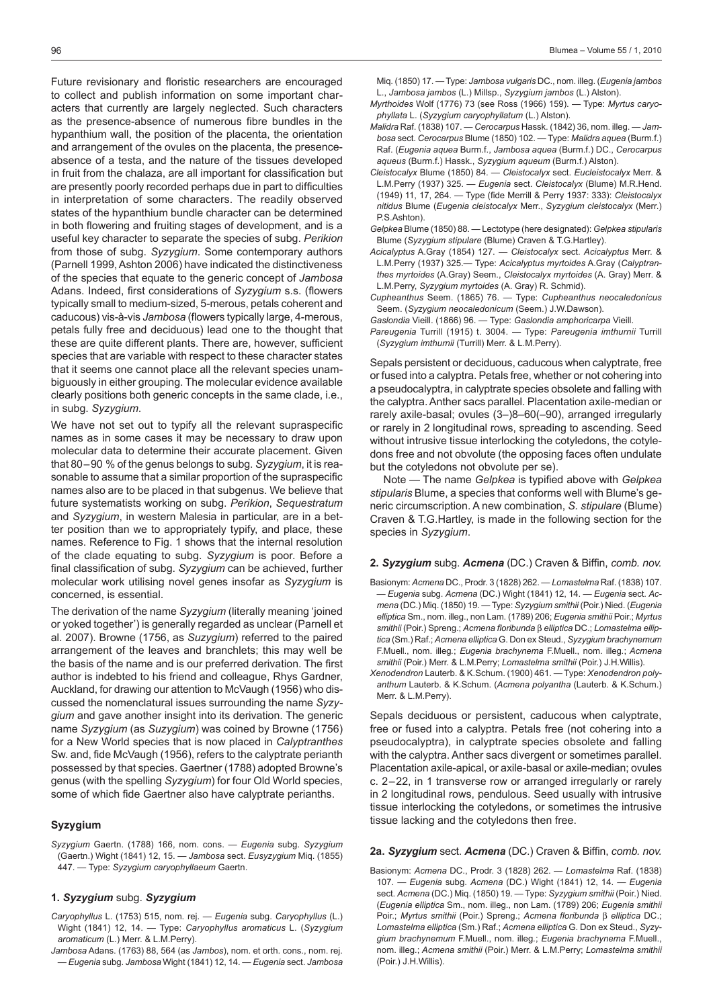Future revisionary and floristic researchers are encouraged to collect and publish information on some important characters that currently are largely neglected. Such characters as the presence-absence of numerous fibre bundles in the hypanthium wall, the position of the placenta, the orientation and arrangement of the ovules on the placenta, the presenceabsence of a testa, and the nature of the tissues developed in fruit from the chalaza, are all important for classification but are presently poorly recorded perhaps due in part to difficulties in interpretation of some characters. The readily observed states of the hypanthium bundle character can be determined in both flowering and fruiting stages of development, and is a useful key character to separate the species of subg. *Perikion* from those of subg. *Syzygium*. Some contemporary authors (Parnell 1999, Ashton 2006) have indicated the distinctiveness of the species that equate to the generic concept of *Jambosa* Adans. Indeed, first considerations of *Syzygium* s.s. (flowers typically small to medium-sized, 5-merous, petals coherent and caducous) vis-à-vis *Jambosa* (flowers typically large, 4-merous, petals fully free and deciduous) lead one to the thought that these are quite different plants. There are, however, sufficient species that are variable with respect to these character states that it seems one cannot place all the relevant species unambiguously in either grouping. The molecular evidence available clearly positions both generic concepts in the same clade, i.e., in subg. *Syzygium*.

We have not set out to typify all the relevant supraspecific names as in some cases it may be necessary to draw upon molecular data to determine their accurate placement. Given that 80–90 % of the genus belongs to subg. *Syzygium*, it is reasonable to assume that a similar proportion of the supraspecific names also are to be placed in that subgenus. We believe that future systematists working on subg. *Perikion*, *Sequestratum*  and *Syzygium*, in western Malesia in particular, are in a better position than we to appropriately typify, and place, these names. Reference to Fig. 1 shows that the internal resolution of the clade equating to subg. *Syzygium* is poor. Before a final classification of subg. *Syzygium* can be achieved, further molecular work utilising novel genes insofar as *Syzygium* is concerned, is essential.

The derivation of the name *Syzygium* (literally meaning 'joined or yoked together') is generally regarded as unclear (Parnell et al. 2007). Browne (1756, as *Suzygium*) referred to the paired arrangement of the leaves and branchlets; this may well be the basis of the name and is our preferred derivation. The first author is indebted to his friend and colleague, Rhys Gardner, Auckland, for drawing our attention to McVaugh (1956) who discussed the nomenclatural issues surrounding the name *Syzygium* and gave another insight into its derivation. The generic name *Syzygium* (as *Suzygium*) was coined by Browne (1756) for a New World species that is now placed in *Calyptranthes* Sw. and, fide McVaugh (1956), refers to the calyptrate perianth possessed by that species. Gaertner (1788) adopted Browne's genus (with the spelling *Syzygium*) for four Old World species, some of which fide Gaertner also have calyptrate perianths.

# **Syzygium**

*Syzygium* Gaertn. (1788) 166, nom. cons. — *Eugenia* subg. *Syzygium* (Gaertn.) Wight (1841) 12, 15. — *Jambosa* sect. *Eusyzygium* Miq. (1855) 447. — Type: *Syzygium caryophyllaeum* Gaertn.

# **1.** *Syzygium* subg. *Syzygium*

- *Caryophyllus* L. (1753) 515, nom. rej. *Eugenia* subg. *Caryophyllus* (L.) Wight (1841) 12, 14. — Type: *Caryophyllus aromaticus* L. (*Syzygium aromaticum* (L.) Merr. & L.M.Perry).
- *Jambosa* Adans. (1763) 88, 564 (as *Jambos*), nom. et orth. cons., nom. rej. — *Eugenia* subg. *Jambosa* Wight (1841) 12, 14. — *Eugenia* sect. *Jambosa*
- Miq. (1850) 17. Type: *Jambosa vulgaris* DC., nom. illeg. (*Eugenia jambos* L., *Jambosa jambos* (L.) Millsp., *Syzygium jambos* (L.) Alston).
- *Myrthoides* Wolf (1776) 73 (see Ross (1966) 159). Type: *Myrtus caryophyllata* L. (*Syzygium caryophyllatum* (L.) Alston).
- *Malidra* Raf. (1838) 107. *Cerocarpus* Hassk. (1842) 36, nom. illeg. *Jambosa* sect. *Cerocarpus* Blume (1850) 102. — Type: *Malidra aquea* (Burm.f.) Raf. (*Eugenia aquea* Burm.f., *Jambosa aquea* (Burm.f.) DC., *Cerocarpus aqueus* (Burm.f.) Hassk., *Syzygium aqueum* (Burm.f.) Alston).
- *Cleistocalyx* Blume (1850) 84. *Cleistocalyx* sect. *Eucleistocalyx* Merr. & L.M.Perry (1937) 325. — *Eugenia* sect. *Cleistocalyx* (Blume) M.R.Hend. (1949) 11, 17, 264. — Type (fide Merrill & Perry 1937: 333): *Cleistocalyx nitidus* Blume (*Eugenia cleistocalyx* Merr., *Syzygium cleistocalyx* (Merr.) P.S.Ashton).
- *Gelpkea* Blume (1850) 88. Lectotype (here designated): *Gelpkea stipularis* Blume (*Syzygium stipulare* (Blume) Craven & T.G.Hartley).
- *Acicalyptus* A.Gray (1854) 127. *Cleistocalyx* sect. *Acicalyptus* Merr. & L.M.Perry (1937) 325.— Type: *Acicalyptus myrtoides* A.Gray (*Calyptranthes myrtoides* (A.Gray) Seem., *Cleistocalyx myrtoides* (A. Gray) Merr. & L.M.Perry, *Syzygium myrtoides* (A. Gray) R. Schmid).
- *Cupheanthus* Seem. (1865) 76. Type: *Cupheanthus neocaledonicus* Seem. (*Syzygium neocaledonicum* (Seem.) J.W.Dawson).
- *Gaslondia* Vieill. (1866) 96. Type: *Gaslondia amphoricarpa* Vieill.
- *Pareugenia* Turrill (1915) t. 3004. Type: *Pareugenia imthurnii* Turrill (*Syzygium imthurnii* (Turrill) Merr. & L.M.Perry).

Sepals persistent or deciduous, caducous when calyptrate, free or fused into a calyptra. Petals free, whether or not cohering into a pseudocalyptra, in calyptrate species obsolete and falling with the calyptra. Anther sacs parallel. Placentation axile-median or rarely axile-basal; ovules (3–)8–60(–90), arranged irregularly or rarely in 2 longitudinal rows, spreading to ascending. Seed without intrusive tissue interlocking the cotyledons, the cotyledons free and not obvolute (the opposing faces often undulate but the cotyledons not obvolute per se).

Note — The name *Gelpkea* is typified above with *Gelpkea stipularis* Blume, a species that conforms well with Blume's generic circumscription. A new combination, *S. stipulare* (Blume) Craven & T.G.Hartley, is made in the following section for the species in *Syzygium*.

#### **2.** *Syzygium* subg. *Acmena* (DC.) Craven & Biffin, *comb. nov.*

- Basionym: *Acmena* DC., Prodr. 3 (1828) 262. *Lomastelma* Raf. (1838) 107. — *Eugenia* subg. *Acmena* (DC.) Wight (1841) 12, 14. — *Eugenia* sect. *Acmena* (DC.) Miq. (1850) 19. — Type: *Syzygium smithii* (Poir.) Nied. (*Eugenia elliptica* Sm., nom. illeg., non Lam. (1789) 206; *Eugenia smithii* Poir.; *Myrtus smithii* (Poir.) Spreng.; *Acmena floribunda* β *elliptica* DC.; *Lomastelma elliptica* (Sm.) Raf.; *Acmena elliptica* G. Don ex Steud., *Syzygium brachynemum* F.Muell., nom. illeg*.*; *Eugenia brachynema* F.Muell., nom. illeg*.*; *Acmena smithii* (Poir.) Merr. & L.M.Perry; *Lomastelma smithii* (Poir.) J.H.Willis).
- *Xenodendron* Lauterb. & K.Schum. (1900) 461. Type: *Xenodendron polyanthum* Lauterb. & K.Schum. (*Acmena polyantha* (Lauterb. & K.Schum.) Merr. & L.M.Perry).

Sepals deciduous or persistent, caducous when calyptrate, free or fused into a calyptra. Petals free (not cohering into a pseudocalyptra), in calyptrate species obsolete and falling with the calyptra. Anther sacs divergent or sometimes parallel. Placentation axile-apical, or axile-basal or axile-median; ovules c. 2–22, in 1 transverse row or arranged irregularly or rarely in 2 longitudinal rows, pendulous. Seed usually with intrusive tissue interlocking the cotyledons, or sometimes the intrusive tissue lacking and the cotyledons then free.

## **2a.** *Syzygium* sect. *Acmena* (DC.) Craven & Biffin, *comb. nov.*

Basionym: *Acmena* DC., Prodr. 3 (1828) 262. — *Lomastelma* Raf. (1838) 107. — *Eugenia* subg. *Acmena* (DC.) Wight (1841) 12, 14. — *Eugenia* sect. *Acmena* (DC.) Miq. (1850) 19. — Type: *Syzygium smithii* (Poir.) Nied. (*Eugenia elliptica* Sm., nom. illeg., non Lam. (1789) 206; *Eugenia smithii* Poir.; *Myrtus smithii* (Poir.) Spreng.; *Acmena floribunda* β *elliptica* DC.; *Lomastelma elliptica* (Sm.) Raf.; *Acmena elliptica* G. Don ex Steud., *Syzygium brachynemum* F.Muell., nom. illeg*.*; *Eugenia brachynema* F.Muell., nom. illeg*.*; *Acmena smithii* (Poir.) Merr. & L.M.Perry; *Lomastelma smithii* (Poir.) J.H.Willis).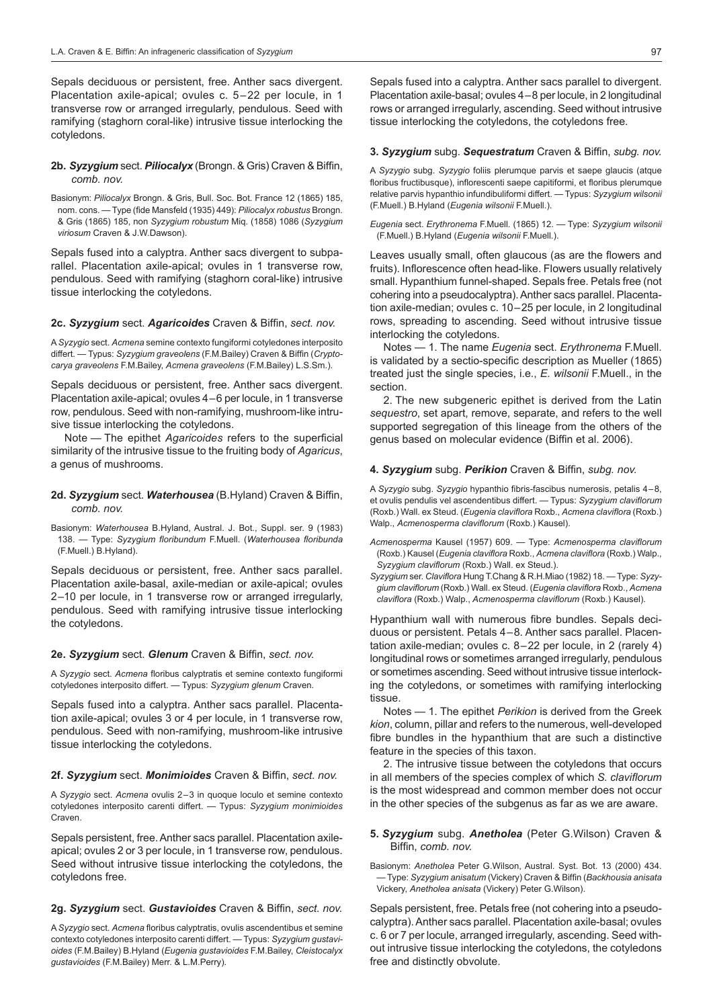Sepals deciduous or persistent, free. Anther sacs divergent. Placentation axile-apical; ovules c. 5–22 per locule, in 1 transverse row or arranged irregularly, pendulous. Seed with ramifying (staghorn coral-like) intrusive tissue interlocking the cotyledons.

## **2b.** *Syzygium* sect. *Piliocalyx* (Brongn. & Gris) Craven & Biffin, *comb. nov.*

Basionym: *Piliocalyx* Brongn. & Gris, Bull. Soc. Bot. France 12 (1865) 185, nom. cons. — Type (fide Mansfeld (1935) 449): *Piliocalyx robustus* Brongn. & Gris (1865) 185, non *Syzygium robustum* Miq. (1858) 1086 (*Syzygium viriosum* Craven & J.W.Dawson).

Sepals fused into a calyptra. Anther sacs divergent to subparallel. Placentation axile-apical; ovules in 1 transverse row, pendulous. Seed with ramifying (staghorn coral-like) intrusive tissue interlocking the cotyledons.

## **2c.** *Syzygium* sect. *Agaricoides* Craven & Biffin, *sect. nov.*

A *Syzygio* sect. *Acmena* semine contexto fungiformi cotyledones interposito differt. — Typus: *Syzygium graveolens* (F.M.Bailey) Craven & Biffin (*Cryptocarya graveolens* F.M.Bailey, *Acmena graveolens* (F.M.Bailey) L.S.Sm.).

Sepals deciduous or persistent, free. Anther sacs divergent. Placentation axile-apical; ovules 4–6 per locule, in 1 transverse row, pendulous. Seed with non-ramifying, mushroom-like intrusive tissue interlocking the cotyledons.

Note — The epithet *Agaricoides* refers to the superficial similarity of the intrusive tissue to the fruiting body of *Agaricus*, a genus of mushrooms.

## **2d.** *Syzygium* sect. *Waterhousea* (B.Hyland) Craven & Biffin, *comb. nov.*

Basionym: *Waterhousea* B.Hyland, Austral. J. Bot., Suppl. ser. 9 (1983) 138. — Type: *Syzygium floribundum* F.Muell. (*Waterhousea floribunda* (F.Muell.) B.Hyland).

Sepals deciduous or persistent, free. Anther sacs parallel. Placentation axile-basal, axile-median or axile-apical; ovules 2–10 per locule, in 1 transverse row or arranged irregularly, pendulous. Seed with ramifying intrusive tissue interlocking the cotyledons.

## **2e.** *Syzygium* sect. *Glenum* Craven & Biffin, *sect. nov.*

A *Syzygio* sect. *Acmena* floribus calyptratis et semine contexto fungiformi cotyledones interposito differt. — Typus: *Syzygium glenum* Craven.

Sepals fused into a calyptra. Anther sacs parallel. Placentation axile-apical; ovules 3 or 4 per locule, in 1 transverse row, pendulous. Seed with non-ramifying, mushroom-like intrusive tissue interlocking the cotyledons.

#### **2f.** *Syzygium* sect. *Monimioides* Craven & Biffin, *sect. nov.*

A *Syzygio* sect. *Acmena* ovulis 2–3 in quoque loculo et semine contexto cotyledones interposito carenti differt. — Typus: *Syzygium monimioides* Craven.

Sepals persistent, free. Anther sacs parallel. Placentation axileapical; ovules 2 or 3 per locule, in 1 transverse row, pendulous. Seed without intrusive tissue interlocking the cotyledons, the cotyledons free.

# **2g.** *Syzygium* sect. *Gustavioides* Craven & Biffin, *sect. nov.*

A *Syzygio* sect. *Acmena* floribus calyptratis, ovulis ascendentibus et semine contexto cotyledones interposito carenti differt. — Typus: *Syzygium gustavioides* (F.M.Bailey) B.Hyland (*Eugenia gustavioides* F.M.Bailey, *Cleistocalyx gustavioides* (F.M.Bailey) Merr. & L.M.Perry).

Sepals fused into a calyptra. Anther sacs parallel to divergent. Placentation axile-basal; ovules 4–8 per locule, in 2 longitudinal rows or arranged irregularly, ascending. Seed without intrusive tissue interlocking the cotyledons, the cotyledons free.

# **3.** *Syzygium* subg. *Sequestratum* Craven & Biffin, *subg. nov.*

A *Syzygio* subg. *Syzygio* foliis plerumque parvis et saepe glaucis (atque floribus fructibusque), inflorescenti saepe capitiformi, et floribus plerumque relative parvis hypanthio infundibuliformi differt. — Typus: *Syzygium wilsonii* (F.Muell.) B.Hyland (*Eugenia wilsonii* F.Muell.).

*Eugenia* sect. *Erythronema* F.Muell. (1865) 12. — Type: *Syzygium wilsonii* (F.Muell.) B.Hyland (*Eugenia wilsonii* F.Muell.).

Leaves usually small, often glaucous (as are the flowers and fruits). Inflorescence often head-like. Flowers usually relatively small. Hypanthium funnel-shaped. Sepals free. Petals free (not cohering into a pseudocalyptra). Anther sacs parallel. Placentation axile-median; ovules c. 10–25 per locule, in 2 longitudinal rows, spreading to ascending. Seed without intrusive tissue interlocking the cotyledons.

Notes — 1. The name *Eugenia* sect. *Erythronema* F.Muell. is validated by a sectio-specific description as Mueller (1865) treated just the single species, i.e., *E. wilsonii* F.Muell., in the section.

2. The new subgeneric epithet is derived from the Latin *sequestro*, set apart, remove, separate, and refers to the well supported segregation of this lineage from the others of the genus based on molecular evidence (Biffin et al. 2006).

### **4.** *Syzygium* subg. *Perikion* Craven & Biffin, *subg. nov.*

A *Syzygio* subg. *Syzygio* hypanthio fibris-fascibus numerosis, petalis 4–8, et ovulis pendulis vel ascendentibus differt. — Typus: *Syzygium claviflorum* (Roxb.) Wall. ex Steud. (*Eugenia claviflora* Roxb., *Acmena claviflora* (Roxb.) Walp., *Acmenosperma claviflorum* (Roxb.) Kausel).

- *Acmenosperma* Kausel (1957) 609. Type: *Acmenosperma claviflorum* (Roxb.) Kausel (*Eugenia claviflora* Roxb., *Acmena claviflora* (Roxb.) Walp., *Syzygium claviflorum* (Roxb.) Wall. ex Steud.).
- *Syzygium* ser. *Claviflora* Hung T.Chang & R.H.Miao (1982) 18. Type: *Syzygium claviflorum* (Roxb.) Wall. ex Steud. (*Eugenia claviflora* Roxb., *Acmena claviflora* (Roxb.) Walp., *Acmenosperma claviflorum* (Roxb.) Kausel).

Hypanthium wall with numerous fibre bundles. Sepals deciduous or persistent. Petals 4–8. Anther sacs parallel. Placentation axile-median; ovules c. 8–22 per locule, in 2 (rarely 4) longitudinal rows or sometimes arranged irregularly, pendulous or sometimes ascending. Seed without intrusive tissue interlocking the cotyledons, or sometimes with ramifying interlocking tissue.

Notes — 1. The epithet *Perikion* is derived from the Greek *kion*, column, pillar and refers to the numerous, well-developed fibre bundles in the hypanthium that are such a distinctive feature in the species of this taxon.

2. The intrusive tissue between the cotyledons that occurs in all members of the species complex of which *S. claviflorum* is the most widespread and common member does not occur in the other species of the subgenus as far as we are aware.

# **5.** *Syzygium* subg. *Anetholea* (Peter G.Wilson) Craven & Biffin, *comb. nov.*

Basionym: *Anetholea* Peter G.Wilson, Austral. Syst. Bot. 13 (2000) 434. — Type: *Syzygium anisatum* (Vickery) Craven & Biffin (*Backhousia anisata* Vickery, *Anetholea anisata* (Vickery) Peter G.Wilson).

Sepals persistent, free. Petals free (not cohering into a pseudocalyptra). Anther sacs parallel. Placentation axile-basal; ovules c. 6 or 7 per locule, arranged irregularly, ascending. Seed without intrusive tissue interlocking the cotyledons, the cotyledons free and distinctly obvolute.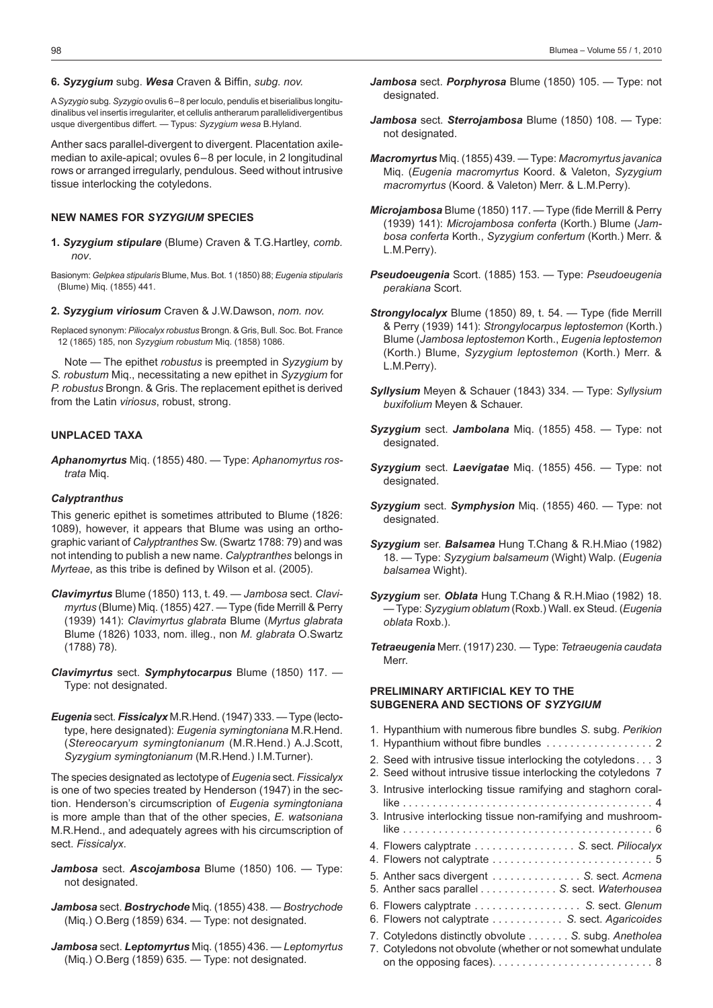A *Syzygio* subg. *Syzygio* ovulis 6–8 per loculo, pendulis et biserialibus longitudinalibus vel insertis irregulariter, et cellulis antherarum parallelidivergentibus usque divergentibus differt. — Typus: *Syzygium wesa* B.Hyland.

Anther sacs parallel-divergent to divergent. Placentation axilemedian to axile-apical; ovules 6–8 per locule, in 2 longitudinal rows or arranged irregularly, pendulous. Seed without intrusive tissue interlocking the cotyledons.

## **NEW NAMES FOR** *SYZYGIUM* **SPECIES**

**1.** *Syzygium stipulare* (Blume) Craven & T.G.Hartley, *comb. nov*.

Basionym: *Gelpkea stipularis* Blume, Mus. Bot. 1 (1850) 88; *Eugenia stipularis* (Blume) Miq. (1855) 441.

**2.** *Syzygium viriosum* Craven & J.W.Dawson, *nom. nov.* 

Replaced synonym: *Piliocalyx robustus* Brongn. & Gris, Bull. Soc. Bot. France 12 (1865) 185, non *Syzygium robustum* Miq. (1858) 1086.

Note — The epithet *robustus* is preempted in *Syzygium* by *S. robustum* Miq., necessitating a new epithet in *Syzygium* for *P. robustus* Brongn. & Gris. The replacement epithet is derived from the Latin *viriosus*, robust, strong.

## **UNPLACED TAXA**

*Aphanomyrtus* Miq. (1855) 480. — Type: *Aphanomyrtus rostrata* Miq.

#### *Calyptranthus*

This generic epithet is sometimes attributed to Blume (1826: 1089), however, it appears that Blume was using an orthographic variant of *Calyptranthes* Sw. (Swartz 1788: 79) and was not intending to publish a new name. *Calyptranthes* belongs in *Myrteae*, as this tribe is defined by Wilson et al. (2005).

- *Clavimyrtus* Blume (1850) 113, t. 49. *Jambosa* sect. *Clavimyrtus* (Blume) Miq. (1855) 427. — Type (fide Merrill & Perry (1939) 141): *Clavimyrtus glabrata* Blume (*Myrtus glabrata* Blume (1826) 1033, nom. illeg., non *M. glabrata* O.Swartz (1788) 78).
- *Clavimyrtus* sect. *Symphytocarpus* Blume (1850) 117. Type: not designated.
- *Eugenia* sect. *Fissicalyx* M.R.Hend. (1947) 333. Type (lectotype, here designated): *Eugenia symingtoniana* M.R.Hend. (*Stereocaryum symingtonianum* (M.R.Hend.) A.J.Scott, *Syzygium symingtonianum* (M.R.Hend.) I.M.Turner).

The species designated as lectotype of *Eugenia* sect. *Fissicalyx* is one of two species treated by Henderson (1947) in the section. Henderson's circumscription of *Eugenia symingtoniana* is more ample than that of the other species, *E. watsoniana* M.R.Hend., and adequately agrees with his circumscription of sect. *Fissicalyx*.

- *Jambosa* sect. *Ascojambosa* Blume (1850) 106. Type: not designated.
- *Jambosa* sect. *Bostrychode* Miq. (1855) 438. *Bostrychode* (Miq.) O.Berg (1859) 634. — Type: not designated.
- *Jambosa* sect. *Leptomyrtus* Miq. (1855) 436. *Leptomyrtus* (Miq.) O.Berg (1859) 635. — Type: not designated.
- *Jambosa* sect. *Porphyrosa* Blume (1850) 105. Type: not designated.
- *Jambosa* sect. *Sterrojambosa* Blume (1850) 108. Type: not designated.
- *Macromyrtus* Miq. (1855) 439. Type: *Macromyrtus javanica* Miq. (*Eugenia macromyrtus* Koord. & Valeton, *Syzygium macromyrtus* (Koord. & Valeton) Merr. & L.M.Perry).
- *Microjambosa* Blume (1850) 117. Type (fide Merrill & Perry (1939) 141): *Microjambosa conferta* (Korth.) Blume (*Jambosa conferta* Korth., *Syzygium confertum* (Korth.) Merr. & L.M.Perry).
- *Pseudoeugenia* Scort. (1885) 153. Type: *Pseudoeugenia perakiana* Scort.
- *Strongylocalyx* Blume (1850) 89, t. 54. Type (fide Merrill & Perry (1939) 141): *Strongylocarpus leptostemon* (Korth.) Blume (*Jambosa leptostemon* Korth., *Eugenia leptostemon* (Korth.) Blume, *Syzygium leptostemon* (Korth.) Merr. & L.M.Perry).
- *Syllysium* Meyen & Schauer (1843) 334. Type: *Syllysium buxifolium* Meyen & Schauer.
- *Syzygium* sect. *Jambolana* Miq. (1855) 458. Type: not designated.
- *Syzygium* sect. *Laevigatae* Miq. (1855) 456. Type: not designated.
- *Syzygium* sect. *Symphysion* Miq. (1855) 460. Type: not designated.
- *Syzygium* ser. *Balsamea* Hung T.Chang & R.H.Miao (1982) 18. — Type: *Syzygium balsameum* (Wight) Walp. (*Eugenia balsamea* Wight).
- *Syzygium* ser. *Oblata* Hung T.Chang & R.H.Miao (1982) 18. — Type: *Syzygium oblatum* (Roxb.) Wall. ex Steud. (*Eugenia oblata* Roxb.).
- *Tetraeugenia* Merr. (1917) 230. Type: *Tetraeugenia caudata* Merr.

# **Preliminary artificial key to the subgenera and sections of** *syzygium*

1. Hypanthium with numerous fibre bundles *S.* subg. *Perikion* 1. Hypanthium without fibre bundles . . 2 2. Seed with intrusive tissue interlocking the cotyledons . . 3 2. Seed without intrusive tissue interlocking the cotyledons 7 3. Intrusive interlocking tissue ramifying and staghorn corallike . . 4 3. Intrusive interlocking tissue non-ramifying and mushroomlike . . 6 4. Flowers calyptrate . . *S.* sect. *Piliocalyx* 4. Flowers not calyptrate . . 5 5. Anther sacs divergent . . *S.* sect. *Acmena* 5. Anther sacs parallel . . *S.* sect. *Waterhousea* 6. Flowers calyptrate . . *S.* sect. *Glenum* 6. Flowers not calyptrate . . *S.* sect. *Agaricoides* 7. Cotyledons distinctly obvolute . . *S.* subg. *Anetholea* 7. Cotyledons not obvolute (whether or not somewhat undulate on the opposing faces) . . 8